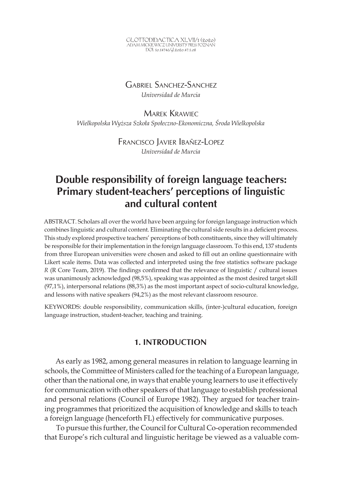GLOTTODIDACTICA XLVII/1 (2020)<br>adam mickiewicz university press poznań DOI: 10.14746/<sub>8</sub>l.2020.47.1.08

# Gabriel Sanchez-Sanchez

*Universidad de Murcia* 

Marek Krawiec *Wielkopolska Wyższa Szkoła Społeczno-Ekonomiczna, Środa Wielkopolska* 

> Francisco Javier Ibañez-Lopez *Universidad de Murcia*

# **Double responsibility of foreign language teachers: Primary student-teachers' perceptions of linguistic and cultural content**

ABSTRACT. Scholars all over the world have been arguing for foreign language instruction which combines linguistic and cultural content. Eliminating the cultural side results in a deficient process. This study explored prospective teachers' perceptions of both constituents, since they will ultimately be responsible for their implementation in the foreign language classroom. To this end, 137 students from three European universities were chosen and asked to fill out an online questionnaire with Likert scale items. Data was collected and interpreted using the free statistics software package *R* (R Core Team, 2019). The findings confirmed that the relevance of linguistic / cultural issues was unanimously acknowledged (98,5%), speaking was appointed as the most desired target skill (97,1%), interpersonal relations (88,3%) as the most important aspect of socio-cultural knowledge, and lessons with native speakers (94,2%) as the most relevant classroom resource.

KEYWORDS: double responsibility, communication skills, (inter-)cultural education, foreign language instruction, student-teacher, teaching and training.

# **1. INTRODUCTION**

As early as 1982, among general measures in relation to language learning in schools, the Committee of Ministers called for the teaching of a European language, other than the national one, in ways that enable young learners to use it effectively for communication with other speakers of that language to establish professional and personal relations (Council of Europe 1982). They argued for teacher training programmes that prioritized the acquisition of knowledge and skills to teach a foreign language (henceforth FL) effectively for communicative purposes.

To pursue this further, the Council for Cultural Co-operation recommended that Europe's rich cultural and linguistic heritage be viewed as a valuable com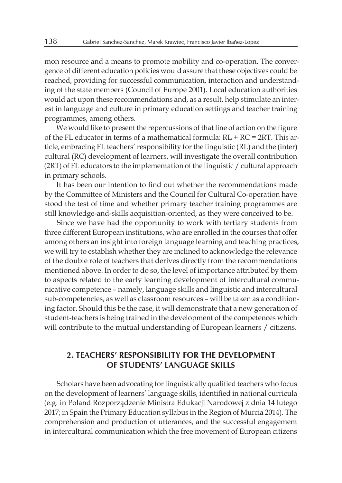mon resource and a means to promote mobility and co-operation. The convergence of different education policies would assure that these objectives could be reached, providing for successful communication, interaction and understanding of the state members (Council of Europe 2001). Local education authorities would act upon these recommendations and, as a result, help stimulate an interest in language and culture in primary education settings and teacher training programmes, among others.

We would like to present the repercussions of that line of action on the figure of the FL educator in terms of a mathematical formula:  $RL + RC = 2RT$ . This article, embracing FL teachers' responsibility for the linguistic (RL) and the (inter) cultural (RC) development of learners, will investigate the overall contribution (2RT) of FL educators to the implementation of the linguistic / cultural approach in primary schools.

It has been our intention to find out whether the recommendations made by the Committee of Ministers and the Council for Cultural Co-operation have stood the test of time and whether primary teacher training programmes are still knowledge-and-skills acquisition-oriented, as they were conceived to be.

Since we have had the opportunity to work with tertiary students from three different European institutions, who are enrolled in the courses that offer among others an insight into foreign language learning and teaching practices, we will try to establish whether they are inclined to acknowledge the relevance of the double role of teachers that derives directly from the recommendations mentioned above. In order to do so, the level of importance attributed by them to aspects related to the early learning development of intercultural communicative competence – namely, language skills and linguistic and intercultural sub-competencies, as well as classroom resources – will be taken as a conditioning factor. Should this be the case, it will demonstrate that a new generation of student-teachers is being trained in the development of the competences which will contribute to the mutual understanding of European learners / citizens.

# **2. TEACHERS' RESPONSIBILITY FOR THE DEVELOPMENT OF STUDENTS' LANGUAGE SKILLS**

Scholars have been advocating for linguistically qualified teachers who focus on the development of learners' language skills, identified in national curricula (e.g. in Poland Rozporządzenie Ministra Edukacji Narodowej z dnia 14 lutego 2017; in Spain the Primary Education syllabus in the Region of Murcia 2014). The comprehension and production of utterances, and the successful engagement in intercultural communication which the free movement of European citizens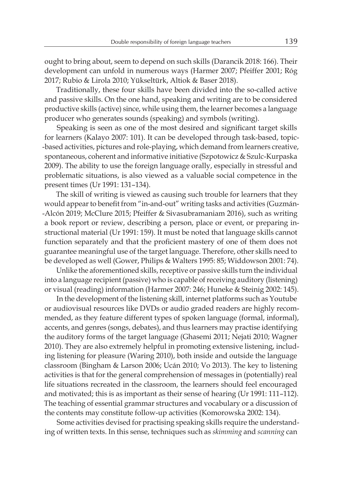ought to bring about, seem to depend on such skills (Darancik 2018: 166). Their development can unfold in numerous ways (Harmer 2007; Pfeiffer 2001; Róg 2017; Rubio & Lirola 2010; Yükseltürk, Altiok & Baser 2018).

Traditionally, these four skills have been divided into the so-called active and passive skills. On the one hand, speaking and writing are to be considered productive skills (active) since, while using them, the learner becomes a language producer who generates sounds (speaking) and symbols (writing).

Speaking is seen as one of the most desired and significant target skills for learners (Kalayo 2007: 101). It can be developed through task-based, topic- -based activities, pictures and role-playing, which demand from learners creative, spontaneous, coherent and informative initiative (Szpotowicz & Szulc-Kurpaska 2009). The ability to use the foreign language orally, especially in stressful and problematic situations, is also viewed as a valuable social competence in the present times (Ur 1991: 131–134).

The skill of writing is viewed as causing such trouble for learners that they would appear to benefit from "in-and-out" writing tasks and activities (Guzmán- -Alcón 2019; McClure 2015; Pfeiffer & Sivasubramaniam 2016), such as writing a book report or review, describing a person, place or event, or preparing instructional material (Ur 1991: 159). It must be noted that language skills cannot function separately and that the proficient mastery of one of them does not guarantee meaningful use of the target language. Therefore, other skills need to be developed as well (Gower, Philips & Walters 1995: 85; Widdowson 2001: 74).

Unlike the aforementioned skills, receptive or passive skills turn the individual into a language recipient (passive) who is capable of receiving auditory (listening) or visual (reading) information (Harmer 2007: 246; Huneke & Steinig 2002: 145).

In the development of the listening skill, internet platforms such as Youtube or audiovisual resources like DVDs or audio graded readers are highly recommended, as they feature different types of spoken language (formal, informal), accents, and genres (songs, debates), and thus learners may practise identifying the auditory forms of the target language (Ghasemi 2011; Nejati 2010; Wagner 2010). They are also extremely helpful in promoting extensive listening, including listening for pleasure (Waring 2010), both inside and outside the language classroom (Bingham & Larson 2006; Ucán 2010; Vo 2013). The key to listening activities is that for the general comprehension of messages in (potentially) real life situations recreated in the classroom, the learners should feel encouraged and motivated; this is as important as their sense of hearing (Ur 1991: 111–112). The teaching of essential grammar structures and vocabulary or a discussion of the contents may constitute follow-up activities (Komorowska 2002: 134).

Some activities devised for practising speaking skills require the understanding of written texts. In this sense, techniques such as *skimming* and *scanning* can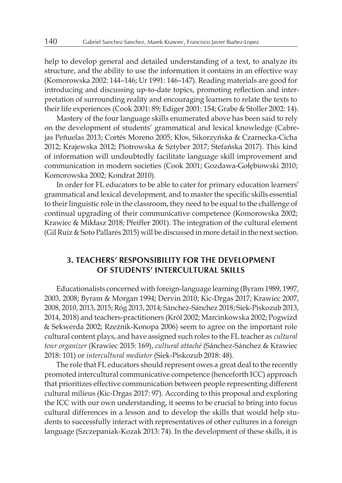help to develop general and detailed understanding of a text, to analyze its structure, and the ability to use the information it contains in an effective way (Komorowska 2002: 144–146; Ur 1991: 146–147). Reading materials are good for introducing and discussing up-to-date topics, promoting reflection and interpretation of surrounding reality and encouraging learners to relate the texts to their life experiences (Cook 2001: 89; Ediger 2001: 154; Grabe & Stoller 2002: 14).

Mastery of the four language skills enumerated above has been said to rely on the development of students' grammatical and lexical knowledge (Cabrejas Peñuelas 2013; Cortés Moreno 2005; Kłos, Sikorzyńska & Czarnecka-Cicha 2012; Krajewska 2012; Piotrowska & Sztyber 2017; Stefańska 2017). This kind of information will undoubtedly facilitate language skill improvement and communication in modern societies (Cook 2001; Gozdawa-Gołębiowski 2010; Komorowska 2002; Kondrat 2010).

In order for FL educators to be able to cater for primary education learners' grammatical and lexical development, and to master the specific skills essential to their linguistic role in the classroom, they need to be equal to the challenge of continual upgrading of their communicative competence (Komorowska 2002; Krawiec & Mikłasz 2018; Pfeiffer 2001). The integration of the cultural element (Gil Ruíz & Soto Pallarés 2015) will be discussed in more detail in the next section.

# **3. TEACHERS' RESPONSIBILITY FOR THE DEVELOPMENT OF STUDENTS' INTERCULTURAL SKILLS**

Educationalists concerned with foreign-language learning (Byram 1989, 1997, 2003, 2008; Byram & Morgan 1994; Dervin 2010; Kic-Drgas 2017; Krawiec 2007, 2008, 2010, 2013, 2015; Róg 2013, 2014; Sánchez-Sánchez 2018; Siek-Piskozub 2013, 2014, 2018) and teachers-practitioners (Król 2002; Marcinkowska 2002; Pogwizd & Sekwerda 2002; Rzeźnik-Konopa 2006) seem to agree on the important role cultural content plays, and have assigned such roles to the FL teacher as *cultural tour organizer* (Krawiec 2015: 169), *cultural attaché* (Sánchez-Sánchez & Krawiec 2018: 101) or *intercultural mediator* (Siek-Piskozub 2018: 48).

The role that FL educators should represent owes a great deal to the recently promoted intercultural communicative competence (henceforth ICC) approach that prioritizes effective communication between people representing different cultural milieus (Kic-Drgas 2017: 97). According to this proposal and exploring the ICC with our own understanding, it seems to be crucial to bring into focus cultural differences in a lesson and to develop the skills that would help students to successfully interact with representatives of other cultures in a foreign language (Szczepaniak-Kozak 2013: 74). In the development of these skills, it is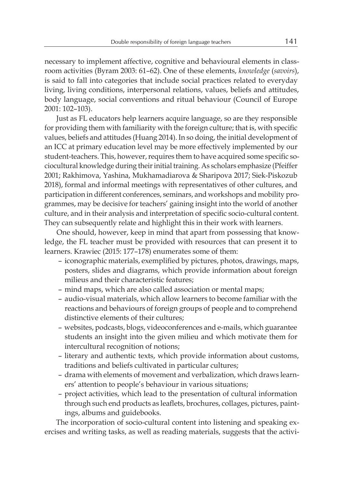necessary to implement affective, cognitive and behavioural elements in classroom activities (Byram 2003: 61–62). One of these elements, *knowledge* (*savoirs*), is said to fall into categories that include social practices related to everyday living, living conditions, interpersonal relations, values, beliefs and attitudes, body language, social conventions and ritual behaviour (Council of Europe 2001: 102–103).

Just as FL educators help learners acquire language, so are they responsible for providing them with familiarity with the foreign culture; that is, with specific values, beliefs and attitudes (Huang 2014). In so doing, the initial development of an ICC at primary education level may be more effectively implemented by our student-teachers. This, however, requires them to have acquired some specific sociocultural knowledge during their initial training. As scholars emphasize (Pfeiffer 2001; Rakhimova, Yashina, Mukhamadiarova & Sharipova 2017; Siek-Piskozub 2018), formal and informal meetings with representatives of other cultures, and participation in different conferences, seminars, and workshops and mobility programmes, may be decisive for teachers' gaining insight into the world of another culture, and in their analysis and interpretation of specific socio-cultural content. They can subsequently relate and highlight this in their work with learners.

One should, however, keep in mind that apart from possessing that knowledge, the FL teacher must be provided with resources that can present it to learners. Krawiec (2015: 177–178) enumerates some of them:

- iconographic materials, exemplified by pictures, photos, drawings, maps, posters, slides and diagrams, which provide information about foreign milieus and their characteristic features;
- mind maps, which are also called association or mental maps;
- audio-visual materials, which allow learners to become familiar with the reactions and behaviours of foreign groups of people and to comprehend distinctive elements of their cultures;
- websites, podcasts, blogs, videoconferences and e-mails, which guarantee students an insight into the given milieu and which motivate them for intercultural recognition of notions;
- literary and authentic texts, which provide information about customs, traditions and beliefs cultivated in particular cultures;
- drama with elements of movement and verbalization, which draws learners' attention to people's behaviour in various situations;
- project activities, which lead to the presentation of cultural information through such end products as leaflets, brochures, collages, pictures, paintings, albums and guidebooks.

The incorporation of socio-cultural content into listening and speaking exercises and writing tasks, as well as reading materials, suggests that the activi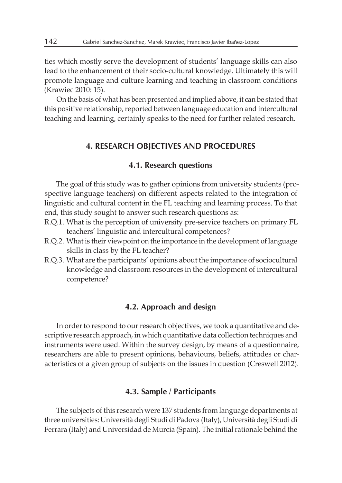ties which mostly serve the development of students' language skills can also lead to the enhancement of their socio-cultural knowledge. Ultimately this will promote language and culture learning and teaching in classroom conditions (Krawiec 2010: 15).

On the basis of what has been presented and implied above, it can be stated that this positive relationship, reported between language education and intercultural teaching and learning, certainly speaks to the need for further related research.

## **4. RESEARCH OBJECTIVES AND PROCEDURES**

#### **4.1. Research questions**

The goal of this study was to gather opinions from university students (prospective language teachers) on different aspects related to the integration of linguistic and cultural content in the FL teaching and learning process. To that end, this study sought to answer such research questions as:

- R.Q.1. What is the perception of university pre-service teachers on primary FL teachers' linguistic and intercultural competences?
- R.Q.2. What is their viewpoint on the importance in the development of language skills in class by the FL teacher?
- R.Q.3. What are the participants' opinions about the importance of sociocultural knowledge and classroom resources in the development of intercultural competence?

#### **4.2. Approach and design**

In order to respond to our research objectives, we took a quantitative and descriptive research approach, in which quantitative data collection techniques and instruments were used. Within the survey design, by means of a questionnaire, researchers are able to present opinions, behaviours, beliefs, attitudes or characteristics of a given group of subjects on the issues in question (Creswell 2012).

#### **4.3. Sample / Participants**

The subjects of this research were 137 students from language departments at three universities: Università degli Studi di Padova (Italy), Università degli Studi di Ferrara (Italy) and Universidad de Murcia (Spain). The initial rationale behind the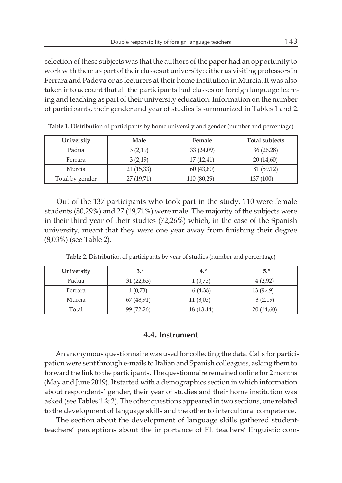selection of these subjects was that the authors of the paper had an opportunity to work with them as part of their classes at university: either as visiting professors in Ferrara and Padova or as lecturers at their home institution in Murcia. It was also taken into account that all the participants had classes on foreign language learning and teaching as part of their university education. Information on the number of participants, their gender and year of studies is summarized in Tables 1 and 2.

| University      | Male      | Female      | <b>Total subjects</b> |
|-----------------|-----------|-------------|-----------------------|
| Padua           | 3(2,19)   | 33(24,09)   | 36(26,28)             |
| Ferrara         | 3(2,19)   | 17(12,41)   | 20(14,60)             |
| Murcia          | 21(15,33) | 60(43,80)   | 81 (59,12)            |
| Total by gender | 27(19,71) | 110 (80,29) | 137 (100)             |

**Table 1.** Distribution of participants by home university and gender (number and percentage)

Out of the 137 participants who took part in the study, 110 were female students (80,29%) and 27 (19,71%) were male. The majority of the subjects were in their third year of their studies (72,26%) which, in the case of the Spanish university, meant that they were one year away from finishing their degree (8,03%) (see Table 2).

| University | 3.0        | 4.0       | 5.9       |
|------------|------------|-----------|-----------|
| Padua      | 31(22,63)  | 1(0,73)   | 4(2,92)   |
| Ferrara    | 1(0,73)    | 6(4,38)   | 13(9,49)  |
| Murcia     | 67 (48,91) | 11(8,03)  | 3(2,19)   |
| Total      | 99 (72,26) | 18(13,14) | 20(14,60) |

**Table 2.** Distribution of participants by year of studies (number and percentage)

#### **4.4. Instrument**

An anonymous questionnaire was used for collecting the data. Calls for participation were sent through e-mails to Italian and Spanish colleagues, asking them to forward the link to the participants. The questionnaire remained online for 2 months (May and June 2019). It started with a demographics section in which information about respondents' gender, their year of studies and their home institution was asked (see Tables  $1 \& 2$ ). The other questions appeared in two sections, one related to the development of language skills and the other to intercultural competence.

The section about the development of language skills gathered studentteachers' perceptions about the importance of FL teachers' linguistic com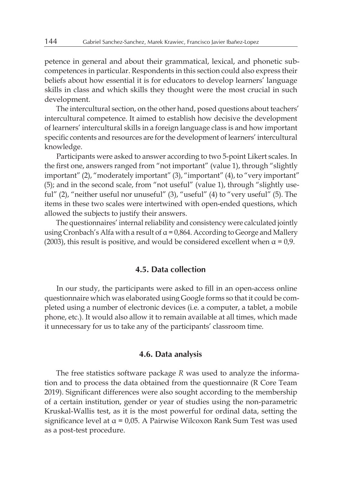petence in general and about their grammatical, lexical, and phonetic subcompetences in particular. Respondents in this section could also express their beliefs about how essential it is for educators to develop learners' language skills in class and which skills they thought were the most crucial in such development.

The intercultural section, on the other hand, posed questions about teachers' intercultural competence. It aimed to establish how decisive the development of learners' intercultural skills in a foreign language class is and how important specific contents and resources are for the development of learners' intercultural knowledge.

Participants were asked to answer according to two 5-point Likert scales. In the first one, answers ranged from "not important" (value 1), through "slightly important" (2), "moderately important" (3), "important" (4), to "very important" (5); and in the second scale, from "not useful" (value 1), through "slightly useful" (2), "neither useful nor unuseful" (3), "useful" (4) to "very useful" (5). The items in these two scales were intertwined with open-ended questions, which allowed the subjects to justify their answers.

The questionnaires' internal reliability and consistency were calculated jointly using Cronbach's Alfa with a result of  $\alpha = 0.864$ . According to George and Mallery (2003), this result is positive, and would be considered excellent when  $\alpha = 0.9$ .

### **4.5. Data collection**

In our study, the participants were asked to fill in an open-access online questionnaire which was elaborated using Google forms so that it could be completed using a number of electronic devices (i.e. a computer, a tablet, a mobile phone, etc.). It would also allow it to remain available at all times, which made it unnecessary for us to take any of the participants' classroom time.

#### **4.6. Data analysis**

The free statistics software package *R* was used to analyze the information and to process the data obtained from the questionnaire (R Core Team 2019). Significant differences were also sought according to the membership of a certain institution, gender or year of studies using the non-parametric Kruskal-Wallis test, as it is the most powerful for ordinal data, setting the significance level at  $\alpha$  = 0,05. A Pairwise Wilcoxon Rank Sum Test was used as a post-test procedure.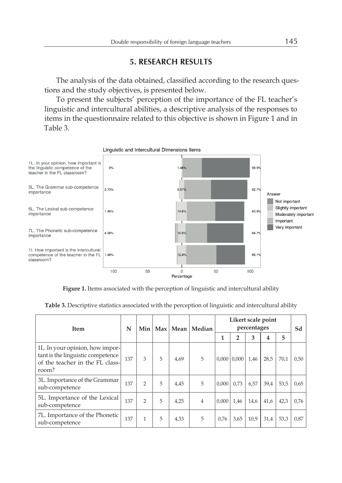# **5. RESEARCH RESULTS**

The analysis of the data obtained, classified according to the research questions and the study objectives, is presented below.

To present the subjects' perception of the importance of the FL teacher's linguistic and intercultural abilities, a descriptive analysis of the responses to items in the questionnaire related to this objective is shown in Figure 1 and in Table 3.



Linguistic and Intercultural Dimensions items

**Figure 1.** Items associated with the perception of linguistic and intercultural ability

| Item                                                                                                             | N<br>Min |                |   | Max   Mean | Median         | Likert scale point<br>percentages |               |      |      |      | Sd   |
|------------------------------------------------------------------------------------------------------------------|----------|----------------|---|------------|----------------|-----------------------------------|---------------|------|------|------|------|
|                                                                                                                  |          |                |   |            |                | 1                                 | 2             | 3    | 4    | 5    |      |
| 1L. In your opinion, how impor-<br>tant is the linguistic competence<br>of the teacher in the FL class-<br>room? | 137      | 3              | 5 | 4.69       | 5              |                                   | 0.000   0.000 | 1,46 | 28,5 | 70.1 | 0,50 |
| 3L. Importance of the Grammar<br>sub-competence                                                                  | 137      | $\overline{2}$ | 5 | 4,45       | 5              | 0.000                             | 0.73          | 6,57 | 39,4 | 53,5 | 0,65 |
| 5L. Importance of the Lexical<br>sub-competence                                                                  | 137      | $\mathcal{P}$  | 5 | 4.25       | $\overline{4}$ | 0.000                             | 1.46          | 14,6 | 41,6 | 42,3 | 0,76 |
| 7L. Importance of the Phonetic<br>sub-competence                                                                 | 137      | $\mathbf{1}$   | 5 | 4,33       | 5              | 0.76                              | 3,65          | 10,9 | 31,4 | 53,3 | 0,87 |

**Table 3.** Descriptive statistics associated with the perception of linguistic and intercultural ability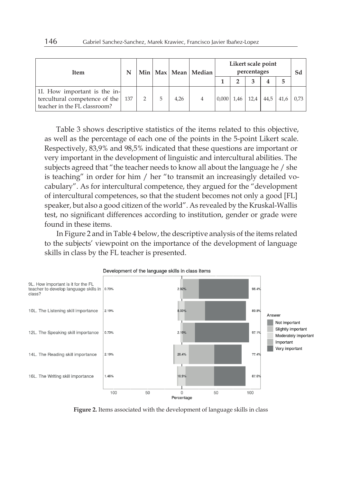| <b>Item</b>                                                                                   |     |   |   |      | Min   Max   Mean   Median | Likert scale point<br>percentages |      |      |      |      |      |
|-----------------------------------------------------------------------------------------------|-----|---|---|------|---------------------------|-----------------------------------|------|------|------|------|------|
|                                                                                               |     |   |   |      |                           |                                   |      |      |      | 5    |      |
| 11. How important is the in-<br>tercultural competence of the<br>teacher in the FL classroom? | 137 | 2 | 5 | 4.26 |                           | 0,000                             | 1,46 | 12.4 | 44.5 | 41.6 | 0.73 |

Table 3 shows descriptive statistics of the items related to this objective, as well as the percentage of each one of the points in the 5-point Likert scale. Respectively, 83,9% and 98,5% indicated that these questions are important or very important in the development of linguistic and intercultural abilities. The subjects agreed that "the teacher needs to know all about the language he / she is teaching" in order for him / her "to transmit an increasingly detailed vocabulary". As for intercultural competence, they argued for the "development of intercultural competences, so that the student becomes not only a good [FL] speaker, but also a good citizen of the world". As revealed by the Kruskal-Wallis test, no significant differences according to institution, gender or grade were found in these items.

In Figure 2 and in Table 4 below, the descriptive analysis of the items related to the subjects' viewpoint on the importance of the development of language skills in class by the FL teacher is presented.



**Figure 2.** Items associated with the development of language skills in class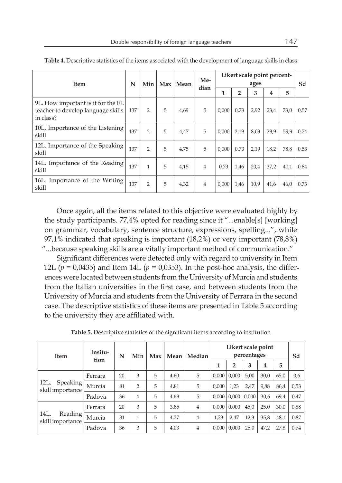| <b>Item</b>                                                                           | N<br>Min |                | Max | Mean | Me-<br>dian | Likert scale point percent-<br>ages |                |      |      |      | Sd   |
|---------------------------------------------------------------------------------------|----------|----------------|-----|------|-------------|-------------------------------------|----------------|------|------|------|------|
|                                                                                       |          |                |     |      |             | 1                                   | $\overline{2}$ | 3    | 4    | 5    |      |
| 9L. How important is it for the FL<br>teacher to develop language skills<br>in class? | 137      | $\overline{2}$ | 5   | 4,69 | 5           | 0.000                               | 0.73           | 2,92 | 23,4 | 73,0 | 0,57 |
| 10L. Importance of the Listening<br>skill                                             | 137      | $\overline{2}$ | 5   | 4,47 | 5           | 0.000                               | 2,19           | 8,03 | 29,9 | 59,9 | 0,74 |
| 12L. Importance of the Speaking<br>skill                                              | 137      | $\overline{2}$ | 5   | 4.75 | 5           | 0.000                               | 0.73           | 2,19 | 18,2 | 78,8 | 0,53 |
| 14L. Importance of the Reading<br>skill                                               | 137      | 1              | 5   | 4,15 | 4           | 0.73                                | 1.46           | 20,4 | 37,2 | 40,1 | 0,84 |
| 16L. Importance of the Writing<br>skill                                               | 137      | $\overline{2}$ | 5   | 4,32 | 4           | 0.000                               | 1,46           | 10,9 | 41,6 | 46,0 | 0,73 |

**Table 4.** Descriptive statistics of the items associated with the development of language skills in class

Once again, all the items related to this objective were evaluated highly by the study participants. 77,4% opted for reading since it "...enable[s] [working] on grammar, vocabulary, sentence structure, expressions, spelling...", while 97,1% indicated that speaking is important (18,2%) or very important (78,8%) "...because speaking skills are a vitally important method of communication."

Significant differences were detected only with regard to university in Item 12L ( $p = 0.0435$ ) and Item 14L ( $p = 0.0353$ ). In the post-hoc analysis, the differences were located between students from the University of Murcia and students from the Italian universities in the first case, and between students from the University of Murcia and students from the University of Ferrara in the second case. The descriptive statistics of these items are presented in Table 5 according to the university they are affiliated with.

| <b>Item</b>                           | Insitu-<br>tion | N  | Min            | Max | Median<br>Mean |                | Likert scale point | Sd             |       |      |      |      |
|---------------------------------------|-----------------|----|----------------|-----|----------------|----------------|--------------------|----------------|-------|------|------|------|
|                                       |                 |    |                |     |                |                |                    | $\overline{2}$ | 3     | 4    | 5    |      |
|                                       | Ferrara         | 20 | 3              | 5   | 4,60           | 5              | 0.000              | 0.000          | 5,00  | 30,0 | 65,0 | 0,6  |
| 12L.<br>Speaking                      | Murcia          | 81 | $\overline{2}$ | 5   | 4,81           | 5              | 0.000              | 1,23           | 2,47  | 9,88 | 86,4 | 0,53 |
| skill importance                      | Padova          | 36 | 4              | 5   | 4,69           | 5              | 0.000              | 0,000          | 0,000 | 30,6 | 69,4 | 0.47 |
|                                       | Ferrara         | 20 | 3              | 5   | 3,85           | $\overline{4}$ | 0.000              | 0.000          | 45,0  | 25,0 | 30,0 | 0,88 |
| 14L.<br>Reading I<br>skill importance | Murcia          | 81 | 1              | 5   | 4,27           | 4              | 1,23               | 2,47           | 12,3  | 35,8 | 48,1 | 0,87 |
|                                       | Padova          | 36 | 3              | 5   | 4,03           | 4              | 0.000              | 0,000          | 25,0  | 47,2 | 27,8 | 0,74 |

**Table 5.** Descriptive statistics of the significant items according to institution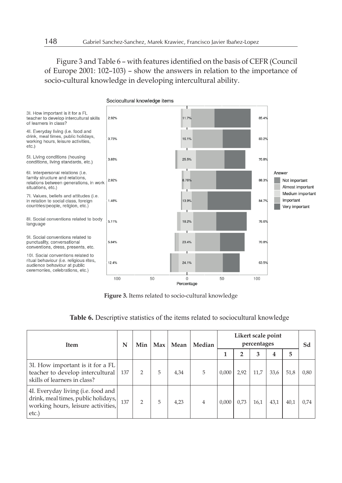Figure 3 and Table 6 – with features identified on the basis of CEFR (Council of Europe 2001: 102–103) – show the answers in relation to the importance of socio-cultural knowledge in developing intercultural ability.



**Figure 3.** Items related to socio-cultural knowledge

| Table 6. Descriptive statistics of the items related to sociocultural knowledge |  |  |  |  |
|---------------------------------------------------------------------------------|--|--|--|--|
|---------------------------------------------------------------------------------|--|--|--|--|

| <b>Item</b>                                                                                                              | N   | Min<br>Max    |   | Mean | Median |       | Sd             |      |      |      |      |
|--------------------------------------------------------------------------------------------------------------------------|-----|---------------|---|------|--------|-------|----------------|------|------|------|------|
|                                                                                                                          |     |               |   |      |        |       | $\overline{2}$ | 3    | 4    | 5    |      |
| 3I. How important is it for a FL<br>teacher to develop intercultural<br>skills of learners in class?                     | 137 | 2             | 5 | 4.34 | 5      | 0.000 | 2.92           | 11.7 | 33.6 | 51,8 | 0,80 |
| 4I. Everyday living (i.e. food and<br>drink, meal times, public holidays,<br>working hours, leisure activities,<br>etc.) | 137 | $\mathcal{P}$ | 5 | 4.23 | 4      | 0.000 | 0.73           | 16.1 | 43.1 | 40.1 | 0.74 |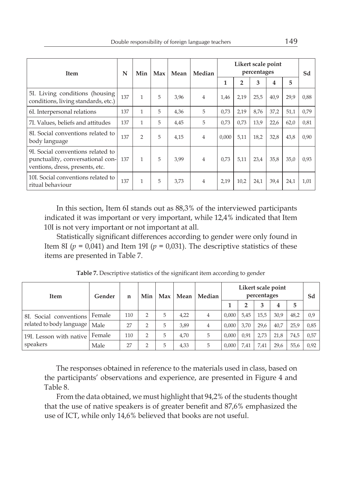| Item                                                                                                     | N   | Min            | Max | Mean | Median         | Likert scale point<br>percentages |              |      |      |      | Sd   |
|----------------------------------------------------------------------------------------------------------|-----|----------------|-----|------|----------------|-----------------------------------|--------------|------|------|------|------|
|                                                                                                          |     |                |     |      |                | 1                                 | $\mathbf{2}$ | 3    | 4    | 5    |      |
| 5I. Living conditions (housing<br>conditions, living standards, etc.)                                    | 137 | $\mathbf{1}$   | 5   | 3,96 | $\overline{4}$ | 1,46                              | 2,19         | 25,5 | 40,9 | 29,9 | 0,88 |
| 6I. Interpersonal relations                                                                              | 137 | 1              | 5   | 4,36 | 5              | 0,73                              | 2,19         | 8,76 | 37,2 | 51,1 | 0,79 |
| 7I. Values, beliefs and attitudes                                                                        | 137 | 1              | 5   | 4,45 | 5              | 0.73                              | 0.73         | 13,9 | 22,6 | 62,0 | 0,81 |
| 8I. Social conventions related to<br>body language                                                       | 137 | $\overline{2}$ | 5   | 4,15 | $\overline{4}$ | 0.000                             | 5,11         | 18,2 | 32,8 | 43,8 | 0,90 |
| 9I. Social conventions related to<br>punctuality, conversational con-<br>ventions, dress, presents, etc. | 137 | 1              | 5   | 3.99 | $\overline{4}$ | 0.73                              | 5.11         | 23.4 | 35,8 | 35,0 | 0,93 |
| 10I. Social conventions related to<br>ritual behaviour                                                   | 137 | 1              | 5   | 3,73 | 4              | 2,19                              | 10,2         | 24,1 | 39,4 | 24,1 | 1,01 |

In this section, Item 6I stands out as 88,3% of the interviewed participants indicated it was important or very important, while 12,4% indicated that Item 10I is not very important or not important at all.

Statistically significant differences according to gender were only found in Item 8I ( $p = 0.041$ ) and Item 19I ( $p = 0.031$ ). The descriptive statistics of these items are presented in Table 7.

| Item                            | Gender | Min<br>Max<br>n |                | Median<br>Mean |      |                | Sd    |      |      |      |      |      |
|---------------------------------|--------|-----------------|----------------|----------------|------|----------------|-------|------|------|------|------|------|
|                                 |        |                 |                |                |      |                |       | 2    | 3    | 4    | 5    |      |
| 8I. Social conventions          | Female | 110             | $\overline{2}$ | 5              | 4,22 | $\overline{4}$ | 0.000 | 5,45 | 15,5 | 30,9 | 48,2 | 0.9  |
| related to body language   Male |        | 27              | 2              | 5              | 3,89 | $\overline{4}$ | 0.000 | 3,70 | 29,6 | 40,7 | 25,9 | 0,85 |
| 19I. Lesson with native         | Female | 110             | $\overline{2}$ | 5              | 4.70 | 5              | 0.000 | 0.91 | 2.73 | 21,8 | 74,5 | 0,57 |
| speakers                        | Male   | 27              | っ              | 5              | 4,33 | 5              | 0.000 | 7.41 | 7.41 | 29.6 | 55.6 | 0,92 |

**Table 7.** Descriptive statistics of the significant item according to gender

The responses obtained in reference to the materials used in class, based on the participants' observations and experience, are presented in Figure 4 and Table 8.

From the data obtained, we must highlight that 94,2% of the students thought that the use of native speakers is of greater benefit and 87,6% emphasized the use of ICT, while only 14,6% believed that books are not useful.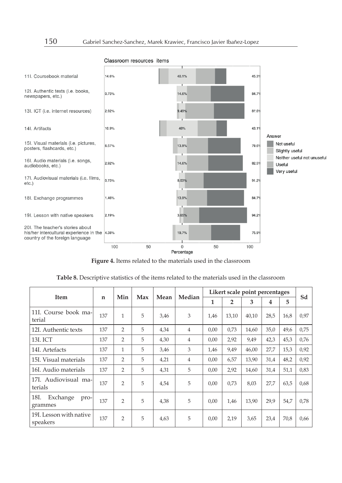

#### Classroom resources items

**Figure 4.** Items related to the materials used in the classroom

|                                     |             |                |     |      |        |      |                | Likert scale point percentages |      |      |      |
|-------------------------------------|-------------|----------------|-----|------|--------|------|----------------|--------------------------------|------|------|------|
| <b>Item</b>                         | $\mathbf n$ | Min            | Max | Mean | Median | 1    | $\overline{2}$ | 3                              | 4    | 5    | Sd   |
| 11I. Course book ma-<br>terial      | 137         | 1              | 5   | 3,46 | 3      | 1,46 | 13,10          | 40.10                          | 28.5 | 16,8 | 0.97 |
| 12I. Authentic texts                | 137         | $\overline{2}$ | 5   | 4,34 | 4      | 0,00 | 0,73           | 14,60                          | 35,0 | 49,6 | 0,75 |
| 13I. ICT                            | 137         | $\overline{2}$ | 5   | 4,30 | 4      | 0,00 | 2,92           | 9,49                           | 42,3 | 45,3 | 0,76 |
| 14I. Artefacts                      | 137         | $\mathbf{1}$   | 5   | 3,46 | 3      | 1,46 | 9,49           | 46,00                          | 27,7 | 15,3 | 0,92 |
| 15I. Visual materials               | 137         | 2              | 5   | 4,21 | 4      | 0,00 | 6,57           | 13,90                          | 31,4 | 48,2 | 0,92 |
| 16I. Audio materials                | 137         | 2              | 5   | 4,31 | 5      | 0,00 | 2,92           | 14,60                          | 31,4 | 51,1 | 0,83 |
| 17I. Audiovisual ma-l<br>terials    | 137         | $\overline{2}$ | 5   | 4,54 | 5      | 0,00 | 0,73           | 8,03                           | 27,7 | 63,5 | 0,68 |
| 18I.<br>Exchange<br>pro-<br>grammes | 137         | $\mathcal{P}$  | 5   | 4,38 | 5      | 0,00 | 1,46           | 13,90                          | 29,9 | 54,7 | 0,78 |
| 19I. Lesson with native<br>speakers | 137         | $\overline{2}$ | 5   | 4,63 | 5      | 0.00 | 2,19           | 3.65                           | 23.4 | 70,8 | 0,66 |

**Table 8.** Descriptive statistics of the items related to the materials used in the classroom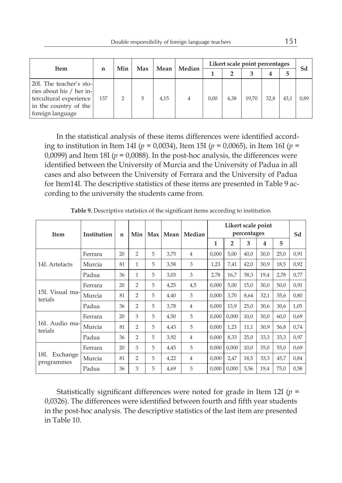| Item                                                                                                                           |     | Min<br>Max |   | Mean | Median | Likert scale point percentages |      |       |      |      |      |
|--------------------------------------------------------------------------------------------------------------------------------|-----|------------|---|------|--------|--------------------------------|------|-------|------|------|------|
|                                                                                                                                | n   |            |   |      |        | 2                              |      | 4     | 5    | Sd   |      |
| 20I. The teacher's sto-<br>ries about his / her in-<br>tercultural experience<br>in the country of the $ $<br>foreign language | 137 |            | 5 | 4,15 | 4      | 0,00                           | 4,38 | 19,70 | 32,8 | 43.1 | 0,89 |

In the statistical analysis of these items differences were identified according to institution in Item 14I (*p* = 0,0034), Item 15I (*p* = 0,0065), in Item 16I (*p* = 0,0099) and Item 18I ( $p = 0.0088$ ). In the post-hoc analysis, the differences were identified between the University of Murcia and the University of Padua in all cases and also between the University of Ferrara and the University of Padua for Item14I. The descriptive statistics of these items are presented in Table 9 according to the university the students came from.

| Item                           | Institution | n  | Min            | Max | Mean | Median         |       | Sd             |      |      |      |      |
|--------------------------------|-------------|----|----------------|-----|------|----------------|-------|----------------|------|------|------|------|
|                                |             |    |                |     |      |                | 1     | $\overline{2}$ | 3    | 4    | 5    |      |
| 14I. Artefacts                 | Ferrara     | 20 | $\overline{2}$ | 5   | 3,75 | $\overline{4}$ | 0,000 | 5,00           | 40,0 | 30,0 | 25,0 | 0,91 |
|                                | Murcia      | 81 | 1              | 5   | 3,58 | 3              | 1,23  | 7,41           | 42,0 | 30,9 | 18,5 | 0,92 |
|                                | Padua       | 36 | 1              | 5   | 3,03 | 3              | 2,78  | 16,7           | 58,3 | 19,4 | 2,78 | 0,77 |
| 15I. Visual ma-<br>terials     | Ferrara     | 20 | $\overline{2}$ | 5   | 4,25 | 4,5            | 0,000 | 5,00           | 15,0 | 30,0 | 50,0 | 0,91 |
|                                | Murcia      | 81 | $\overline{2}$ | 5   | 4,40 | 5              | 0,000 | 3,70           | 8,64 | 32,1 | 55,6 | 0,80 |
|                                | Padua       | 36 | $\overline{2}$ | 5   | 3,78 | $\overline{4}$ | 0,000 | 13,9           | 25,0 | 30,6 | 30,6 | 1,05 |
| 16I. Audio ma-<br>terials      | Ferrara     | 20 | 3              | 5   | 4,50 | 5              | 0,000 | 0,000          | 10,0 | 30,0 | 60,0 | 0,69 |
|                                | Murcia      | 81 | $\overline{2}$ | 5   | 4,43 | 5              | 0,000 | 1,23           | 11,1 | 30,9 | 56,8 | 0,74 |
|                                | Padua       | 36 | $\overline{2}$ | 5   | 3,92 | 4              | 0,000 | 8,33           | 25,0 | 33,3 | 33,3 | 0,97 |
| 18I.<br>Exchange<br>programmes | Ferrara     | 20 | 3              | 5   | 4,45 | 5              | 0,000 | 0,000          | 10,0 | 35,0 | 55,0 | 0,69 |
|                                | Murcia      | 81 | $\overline{2}$ | 5   | 4,22 | $\overline{4}$ | 0,000 | 2,47           | 18,5 | 33,3 | 45,7 | 0,84 |
|                                | Padua       | 36 | 3              | 5   | 4,69 | 5              | 0,000 | 0,000          | 5,56 | 19,4 | 75,0 | 0,58 |

**Table 9.** Descriptive statistics of the significant items according to institution

Statistically significant differences were noted for grade in Item 12I (*p* = 0,0326). The differences were identified between fourth and fifth year students in the post-hoc analysis. The descriptive statistics of the last item are presented in Table 10.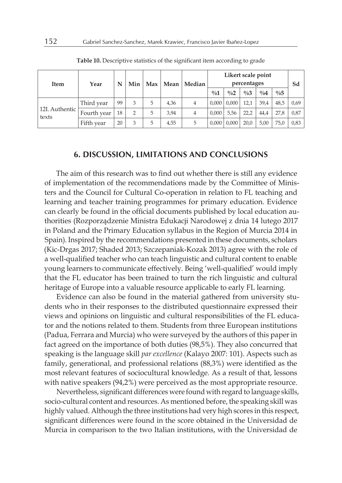| Item                    | Year        | N  | Min |   |      | Max   Mean   Median | Likert scale point | Sd            |                 |                |               |      |
|-------------------------|-------------|----|-----|---|------|---------------------|--------------------|---------------|-----------------|----------------|---------------|------|
|                         |             |    |     |   |      |                     | $\%1$              | $\frac{0}{0}$ | $\frac{0}{0}$ 3 | $\frac{0}{04}$ | $\frac{0}{6}$ |      |
| 12I. Authentic<br>texts | Third year  | 99 |     | 5 | 4,36 | 4                   | 0.000              | 0.000         | 12.1            | 39.4           | 48.5          | 0,69 |
|                         | Fourth year | 18 |     | 5 | 3,94 |                     | 0.000              | 5,56          | 22.2            | 44.4           | 27,8          | 0,87 |
|                         | Fifth year  | 20 |     | 5 | 4,55 | 5                   | 0,000              | 0.000         | 20.0            | 5,00           | 75,0          | 0,83 |

**Table 10.** Descriptive statistics of the significant item according to grade

#### **6. DISCUSSION, LIMITATIONS AND CONCLUSIONS**

The aim of this research was to find out whether there is still any evidence of implementation of the recommendations made by the Committee of Ministers and the Council for Cultural Co-operation in relation to FL teaching and learning and teacher training programmes for primary education. Evidence can clearly be found in the official documents published by local education authorities (Rozporządzenie Ministra Edukacji Narodowej z dnia 14 lutego 2017 in Poland and the Primary Education syllabus in the Region of Murcia 2014 in Spain). Inspired by the recommendations presented in these documents, scholars (Kic-Drgas 2017; Shaded 2013; Szczepaniak-Kozak 2013) agree with the role of a well-qualified teacher who can teach linguistic and cultural content to enable young learners to communicate effectively. Being 'well-qualified' would imply that the FL educator has been trained to turn the rich linguistic and cultural heritage of Europe into a valuable resource applicable to early FL learning.

Evidence can also be found in the material gathered from university students who in their responses to the distributed questionnaire expressed their views and opinions on linguistic and cultural responsibilities of the FL educator and the notions related to them. Students from three European institutions (Padua, Ferrara and Murcia) who were surveyed by the authors of this paper in fact agreed on the importance of both duties (98,5%). They also concurred that speaking is the language skill *par excellence* (Kalayo 2007: 101). Aspects such as family, generational, and professional relations (88,3%) were identified as the most relevant features of sociocultural knowledge. As a result of that, lessons with native speakers (94,2%) were perceived as the most appropriate resource.

Nevertheless, significant differences were found with regard to language skills, socio-cultural content and resources. As mentioned before, the speaking skill was highly valued. Although the three institutions had very high scores in this respect, significant differences were found in the score obtained in the Universidad de Murcia in comparison to the two Italian institutions, with the Universidad de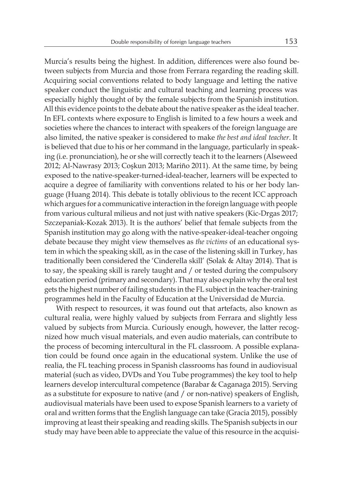Murcia's results being the highest. In addition, differences were also found between subjects from Murcia and those from Ferrara regarding the reading skill. Acquiring social conventions related to body language and letting the native speaker conduct the linguistic and cultural teaching and learning process was especially highly thought of by the female subjects from the Spanish institution. All this evidence points to the debate about the native speaker as the ideal teacher. In EFL contexts where exposure to English is limited to a few hours a week and societies where the chances to interact with speakers of the foreign language are also limited, the native speaker is considered to make *the best and ideal teacher*. It is believed that due to his or her command in the language, particularly in speaking (i.e. pronunciation), he or she will correctly teach it to the learners (Alseweed 2012; Al-Nawrasy 2013; Coşkun 2013; Mariño 2011). At the same time, by being exposed to the native-speaker-turned-ideal-teacher, learners will be expected to acquire a degree of familiarity with conventions related to his or her body language (Huang 2014). This debate is totally oblivious to the recent ICC approach which argues for a communicative interaction in the foreign language with people from various cultural milieus and not just with native speakers (Kic-Drgas 2017; Szczepaniak-Kozak 2013). It is the authors' belief that female subjects from the Spanish institution may go along with the native-speaker-ideal-teacher ongoing debate because they might view themselves as *the victims* of an educational system in which the speaking skill, as in the case of the listening skill in Turkey, has traditionally been considered the 'Cinderella skill' (Solak & Altay 2014). That is to say, the speaking skill is rarely taught and / or tested during the compulsory education period (primary and secondary). That may also explain why the oral test gets the highest number of failing students in the FL subject in the teacher-training programmes held in the Faculty of Education at the Universidad de Murcia.

With respect to resources, it was found out that artefacts, also known as cultural realia, were highly valued by subjects from Ferrara and slightly less valued by subjects from Murcia. Curiously enough, however, the latter recognized how much visual materials, and even audio materials, can contribute to the process of becoming intercultural in the FL classroom. A possible explanation could be found once again in the educational system. Unlike the use of realia, the FL teaching process in Spanish classrooms has found in audiovisual material (such as video, DVDs and You Tube programmes) the key tool to help learners develop intercultural competence (Barabar & Caganaga 2015). Serving as a substitute for exposure to native (and / or non-native) speakers of English, audiovisual materials have been used to expose Spanish learners to a variety of oral and written forms that the English language can take (Gracia 2015), possibly improving at least their speaking and reading skills. The Spanish subjects in our study may have been able to appreciate the value of this resource in the acquisi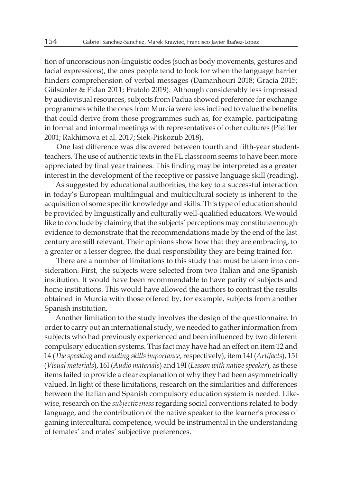tion of unconscious non-linguistic codes (such as body movements, gestures and facial expressions), the ones people tend to look for when the language barrier hinders comprehension of verbal messages (Damanhouri 2018; Gracia 2015; Gülsünler & Fidan 2011; Pratolo 2019). Although considerably less impressed by audiovisual resources, subjects from Padua showed preference for exchange programmes while the ones from Murcia were less inclined to value the benefits that could derive from those programmes such as, for example, participating in formal and informal meetings with representatives of other cultures (Pfeiffer 2001; Rakhimova et al. 2017; Siek-Piskozub 2018).

One last difference was discovered between fourth and fifth-year studentteachers. The use of authentic texts in the FL classroom seems to have been more appreciated by final year trainees. This finding may be interpreted as a greater interest in the development of the receptive or passive language skill (reading).

As suggested by educational authorities, the key to a successful interaction in today's European multilingual and multicultural society is inherent to the acquisition of some specific knowledge and skills. This type of education should be provided by linguistically and culturally well-qualified educators. We would like to conclude by claiming that the subjects' perceptions may constitute enough evidence to demonstrate that the recommendations made by the end of the last century are still relevant. Their opinions show how that they are embracing, to a greater or a lesser degree, the dual responsibility they are being trained for.

There are a number of limitations to this study that must be taken into consideration. First, the subjects were selected from two Italian and one Spanish institution. It would have been recommendable to have parity of subjects and home institutions. This would have allowed the authors to contrast the results obtained in Murcia with those offered by, for example, subjects from another Spanish institution.

Another limitation to the study involves the design of the questionnaire. In order to carry out an international study, we needed to gather information from subjects who had previously experienced and been influenced by two different compulsory education systems. This fact may have had an effect on item 12 and 14 (*The speaking* and *reading skills importance*, respectively), item 14I (*Artifacts*), 15I (*Visual materials*), 16I (*Audio materials*) and 19I (*Lesson with native speaker*), as these items failed to provide a clear explanation of why they had been asymmetrically valued. In light of these limitations, research on the similarities and differences between the Italian and Spanish compulsory education system is needed. Likewise, research on the *subjectiveness* regarding social conventions related to body language, and the contribution of the native speaker to the learner's process of gaining intercultural competence, would be instrumental in the understanding of females' and males' subjective preferences.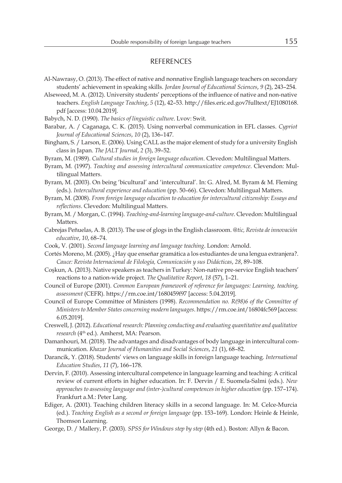#### REFERENCES

- Al-Nawrasy, O. (2013). The effect of native and nonnative English language teachers on secondary students' achievement in speaking skills. *Jordan Journal of Educational Sciences*, *9* (2), 243–254.
- Alseweed, M. A. (2012). University students' perceptions of the influence of native and non-native teachers. *English Language Teaching*, *5* (12), 42–53. http://files.eric.ed.gov7fulltext/EJ1080168. pdf [access: 10.04.2019].
- Babych, N. D. (1990). *The basics of linguistic culture*. Lvov: Swit.
- Barabar, A. / Caganaga, C. K. (2015). Using nonverbal communication in EFL classes. *Cypriot Journal of Educational Sciences*, *10* (2), 136–147.
- Bingham, S. / Larson, E. (2006). Using CALL as the major element of study for a university English class in Japan. *The JALT Journal*, *2* (3), 39–52.
- Byram, M. (1989). *Cultural studies in foreign language education*. Clevedon: Multilingual Matters.
- Byram, M. (1997). *Teaching and assessing intercultural communicative competence*. Clevendon: Multilingual Matters.
- Byram, M. (2003). On being 'bicultural' and 'intercultural'. In: G. Alred, M. Byram & M. Fleming (eds.). *Intercultural experience and education* (pp. 50–66). Clevedon: Multilingual Matters.
- Byram, M. (2008). *From foreign language education to education for intercultural citizenship: Essays and reflections*. Clevedon: Multilingual Matters.
- Byram, M. / Morgan, C. (1994). *Teaching-and-learning language-and-culture*. Clevedon: Multilingual Matters.
- Cabrejas Peñuelas, A. B. (2013). The use of glogs in the English classroom. *@tic, Revista de innovación educative*, *10*, 68–74.
- Cook, V. (2001). *Second language learning and language teaching*. London: Arnold.
- Cortés Moreno, M. (2005). ¿Hay que enseñar gramática a los estudiantes de una lengua extranjera?. *Cauce: Revista Internacional de Filología, Comunicación y sus Didácticas*, *28*, 89–108.
- Coşkun, A. (2013). Native speakers as teachers in Turkey: Non-native pre-service English teachers' reactions to a nation-wide project. *The Qualitative Report*, *18* (57), 1–21.
- Council of Europe (2001). *Common European framework of reference for languages: Learning, teaching, assessment* (CEFR). https://rm.coe.int/1680459f97 [access: 5.04.2019].
- Council of Europe Committee of Ministers (1998). *Recommendation no. R(98)6 of the Committee of Ministers to Member States concerning modern languages*. https://rm.coe.int/16804fc569 [access: 6.05.2019].
- Creswell, J. (2012). *Educational research: Planning conducting and evaluating quantitative and qualitative*  research (4<sup>th</sup> ed.). Amherst, MA: Pearson.
- Damanhouri, M. (2018). The advantages and disadvantages of body language in intercultural communication. *Khazar Journal of Humanities and Social Sciences*, *21* (1), 68–82.
- Darancik, Y. (2018). Students' views on language skills in foreign language teaching. *International Education Studies*, *11* (7), 166–178.
- Dervin, F. (2010). Assessing intercultural competence in language learning and teaching: A critical review of current efforts in higher education. In: F. Dervin / E. Suomela-Salmi (eds.). *New approaches to assessing language and (inter-)cultural competences in higher education* (pp. 157–174). Frankfurt a.M.: Peter Lang.
- Ediger, A. (2001). Teaching children literacy skills in a second language. In: M. Celce-Murcia (ed.). *Teaching English as a second or foreign language* (pp. 153–169). London: Heinle & Heinle, Thomson Learning.
- George, D. / Mallery, P. (2003). *SPSS for Windows step by step* (4th ed.). Boston: Allyn & Bacon.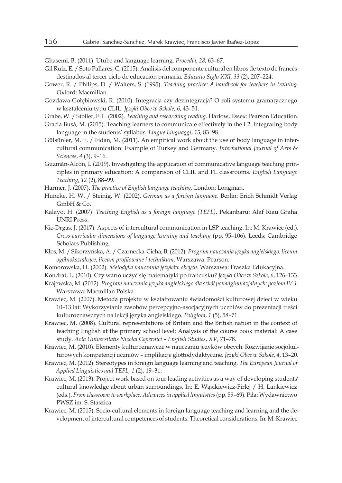Ghasemi, B. (2011). Utube and language learning. *Procedia*, *28*, 63–67.

- Gil Ruíz, E. / Soto Pallarés, C. (2015). Análisis del componente cultural en libros de texto de francés destinados al tercer ciclo de educación primaria. *Educatio Siglo XXI, 33* (2), 207–224.
- Gower, R. / Philips, D. / Walters, S. (1995). *Teaching practice: A handbook for teachers in training*. Oxford: Macmillan.
- Gozdawa-Gołębiowski, R. (2010). Integracja czy dezintegracja? O roli systemu gramatycznego w kształceniu typu CLIL. *Języki Obce w Szkole*, *6*, 43–51.
- Grabe, W. / Stoller, F. L. (2002). *Teaching and researching reading.* Harlow, Essex: Pearson Education.
- Gracia Busà, M. (2015). Teaching learners to communicate effectively in the L2. Integrating body language in the students' syllabus. *Lingue Linguaggi*, *15*, 83–98.
- Gülsünler, M. E. / Fidan, M. (2011). An empirical work about the use of body language in intercultural communication: Example of Turkey and Germany. *International Journal of Arts & Sciences*, *4* (3), 9–16.
- Guzmán-Alcón, I. (2019). Investigating the application of communicative language teaching principles in primary education: A comparison of CLIL and FL classrooms. *English Language Teaching*, *12* (2), 88–99.
- Harmer, J. (2007). *The practice of English language teaching*. London: Longman.
- Huneke, H. W. / Steinig, W. (2002). *German as a foreign language.* Berlin: Erich Schmidt Verlag GmbH & Co.
- Kalayo, H. (2007). *Teaching English as a foreign language (TEFL)*. Pekanbaru: Alaf Riau Graha UNRI Press.
- Kic-Drgas, J. (2017). Aspects of intercultural communication in LSP teaching. In: M. Krawiec (ed.). *Cross-curricular dimensions of language learning and teaching* (pp. 95–106). Leeds: Cambridge Scholars Publishing.
- Kłos, M. / Sikorzyńska, A. / Czarnecka-Cicha, B. (2012). *Program nauczania języka angielskiego: liceum ogólnokształcące, liceum profilowane i technikum*. Warszawa: Pearson.
- Komorowska, H. (2002). *Metodyka nauczania języków obcych*. Warszawa: Fraszka Edukacyjna.
- Kondrat, L. (2010). Czy warto uczyć się matematyki po francusku? *Języki Obce w Szkole*, *6*, 126–133.
- Krajewska, M. (2012). *Program nauczania języka angielskiego dla szkół ponadgimnazjalnych: poziom IV.1.* Warszawa: Macmillan Polska.
- Krawiec, M. (2007). Metoda projektu w kształtowaniu świadomości kulturowej dzieci w wieku 10–13 lat: Wykorzystanie zasobów percepcyjno-asocjacyjnych uczniów do prezentacji treści kulturoznawczych na lekcji języka angielskiego. *Poliglota*, *1* (5), 58–71.
- Krawiec, M. (2008). Cultural representations of Britain and the British nation in the context of teaching English at the primary school level: Analysis of the course book material: A case study. *Acta Universitatis Nicolai Copernici – English Studies*, *XV*, 71–78.
- Krawiec, M. (2010). Elementy kulturoznawcze w nauczaniu języków obcych: Rozwijanie socjokulturowych kompetencji uczniów – implikacje glottodydaktyczne. *Języki Obce w Szkole*, *4*, 13–20.
- Krawiec, M. (2012). Stereotypes in foreign language learning and teaching. *The European Journal of Applied Linguistics and TEFL, 1* (2), 19–31.
- Krawiec, M. (2013). Project work based on tour leading activities as a way of developing students' cultural knowledge about urban surroundings. In: E. Wąsikiewicz-Firlej / H. Lankiewicz (eds.). *From classroom to workplace: Advances in applied linguistics* (pp. 59–69). Piła: Wydawnictwo PWSZ im. S. Staszica.
- Krawiec, M. (2015). Socio-cultural elements in foreign language teaching and learning and the development of intercultural competences of students: Theoretical considerations. In: M. Krawiec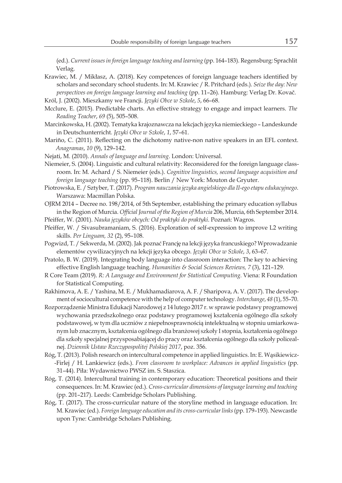(ed.). *Current issues in foreign language teaching and learning* (pp. 164–183). Regensburg: Sprachlit Verlag.

Krawiec, M. / Mikłasz, A. (2018). Key competences of foreign language teachers identified by scholars and secondary school students. In: M. Krawiec / R. Pritchard (eds.). *Seize the day: New perspectives on foreign language learning and teaching* (pp. 11–26). Hamburg: Verlag Dr. Kovač.

Król, J. (2002). Mieszkamy we Francji. *Języki Obce w Szkole*, *5*, 66–68.

- Mcclure, E. (2015). Predictable charts. An effective strategy to engage and impact learners. *The Reading Teacher*, *69* (5), 505–508.
- Marcinkowska, H. (2002). Tematyka krajoznawcza na lekcjach języka niemieckiego Landeskunde in Deutschunterricht*. Języki Obce w Szkole*, *1*, 57–61.
- Mariño, C. (2011). Reflecting on the dichotomy native-non native speakers in an EFL context. *Anagramas*, *10* (9), 129–142.
- Nejati, M. (2010). *Annals of language and learning*. London: Universal.
- Niemeier, S. (2004). Linguistic and cultural relativity: Reconsidered for the foreign language classroom. In: M. Achard / S. Niemeier (eds.). *Cognitive linguistics, second language acquisition and foreign language teaching* (pp. 95–118). Berlin / New York: Mouton de Gryuter.
- Piotrowska, E. / Sztyber, T. (2017). *Program nauczania języka angielskiego dla II-ego etapu edukacyjnego*. Warszawa: Macmillan Polska.
- OJRM 2014 Decree no. 198/2014, of 5th September, establishing the primary education syllabus in the Region of Murcia. *Official Journal of the Region of Murcia* 206, Murcia, 6th September 2014.
- Pfeiffer, W. (2001). *Nauka języków obcych: Od praktyki do praktyki*. Poznań: Wagros.
- Pfeiffer, W. / Sivasubramaniam, S. (2016). Exploration of self-expression to improve L2 writing skills. *Per Linguam, 32* (2), 95–108.
- Pogwizd, T. / Sekwerda, M. (2002). Jak poznać Francję na lekcji języka francuskiego? Wprowadzanie elementów cywilizacyjnych na lekcji języka obcego. *Języki Obce w Szkole*, *3*, 63–67.
- Pratolo, B. W. (2019). Integrating body language into classroom interaction: The key to achieving effective English language teaching. *Humanities & Social Sciences Reviews, 7* (3), 121–129.
- R Core Team (2019). *R: A Language and Environment for Statistical Computing.* Viena: R Foundation for Statistical Computing.
- Rakhimova, A. E. / Yashina, M. E. / Mukhamadiarova, A. F. / Sharipova, A. V. (2017). The development of sociocultural competence with the help of computer technology. *Interchange*, *48* (1), 55–70.
- Rozporządzenie Ministra Edukacji Narodowej z 14 lutego 2017 r. w sprawie podstawy programowej wychowania przedszkolnego oraz podstawy programowej kształcenia ogólnego dla szkoły podstawowej, w tym dla uczniów z niepełnosprawnością intelektualną w stopniu umiarkowanym lub znacznym, kształcenia ogólnego dla branżowej szkoły I stopnia, kształcenia ogólnego dla szkoły specjalnej przysposabiającej do pracy oraz kształcenia ogólnego dla szkoły policealnej. *Dziennik Ustaw Rzeczypospolitej Polskiej 2017*, poz. 356.
- Róg, T. (2013). Polish research on intercultural competence in applied linguistics. In: E. Wąsikiewicz- -Firlej / H. Lankiewicz (eds.). *From classroom to workplace: Advances in applied linguistics* (pp. 31–44). Piła: Wydawnictwo PWSZ im. S. Staszica.
- Róg, T. (2014). Intercultural training in contemporary education: Theoretical positions and their consequences. In: M. Krawiec (ed.). *Cross-curricular dimensions of language learning and teaching* (pp. 201–217). Leeds: Cambridge Scholars Publishing.
- Róg, T. (2017). The cross-curricular nature of the storyline method in language education. In: M. Krawiec (ed.). *Foreign language education and its cross-curricular links* (pp. 179–193). Newcastle upon Tyne: Cambridge Scholars Publishing.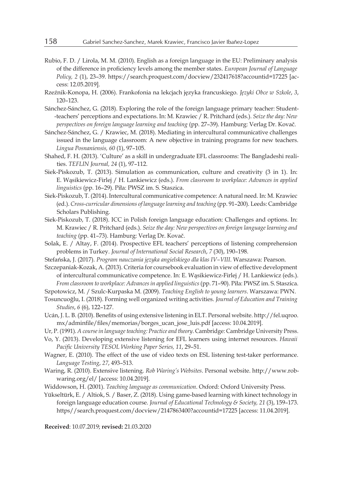- Rubio, F. D. / Lirola, M. M. (2010). English as a foreign language in the EU: Preliminary analysis of the difference in proficiency levels among the member states. *European Journal of Language Policy, 2* (1), 23–39. https://search.proquest.com/docview/232417618?accountid=17225 [access: 12.05.2019].
- Rzeźnik-Konopa, H. (2006). Frankofonia na lekcjach języka francuskiego. *Języki Obce w Szkole*, *3*, 120–123.
- Sánchez-Sánchez, G. (2018). Exploring the role of the foreign language primary teacher: Student- -teachers' perceptions and expectations. In: M. Krawiec / R. Pritchard (eds.). *Seize the day: New perspectives on foreign language learning and teaching* (pp. 27–39). Hamburg: Verlag Dr. Kovač.
- Sánchez-Sánchez, G. / Krawiec, M. (2018). Mediating in intercultural communicative challenges issued in the language classroom: A new objective in training programs for new teachers. *Lingua Posnaniensis, 60* (1), 97–105.
- Shahed, F. H. (2013). 'Culture' as a skill in undergraduate EFL classrooms: The Bangladeshi realities. *TEFLIN Journal, 24* (1), 97–112.
- Siek-Piskozub, T. (2013). Simulation as communication, culture and creativity (3 in 1). In: E. Wąsikiewicz-Firlej / H. Lankiewicz (eds.). *From classroom to workplace: Advances in applied linguistics* (pp. 16–29). Piła: PWSZ im. S. Staszica.
- Siek-Piskozub, T. (2014). Intercultural communicative competence: A natural need. In: M. Krawiec (ed.). *Cross-curricular dimensions of language learning and teaching* (pp. 91–200). Leeds: Cambridge Scholars Publishing.
- Siek-Piskozub, T. (2018). ICC in Polish foreign language education: Challenges and options. In: M. Krawiec / R. Pritchard (eds.). *Seize the day: New perspectives on foreign language learning and teaching* (pp. 41–73). Hamburg: Verlag Dr. Kovač.
- Solak, E. / Altay, F. (2014). Prospective EFL teachers' perceptions of listening comprehension problems in Turkey. *Journal of International Social Research*, *7* (30), 190–198.
- Stefańska, J. (2017). *Program nauczania języka angielskiego dla klas IV–VIII*. Warszawa: Pearson.
- Szczepaniak-Kozak, A. (2013). Criteria for coursebook evaluation in view of effective development of intercultural communicative competence. In: E. Wąsikiewicz-Firlej / H. Lankiewicz (eds.). *From classroom to workplace: Advances in applied linguistics* (pp. 71–90). Piła: PWSZ im. S. Staszica.

Szpotowicz, M. / Szulc-Kurpaska M. (2009). *Teaching English to young learners*. Warszawa: PWN.

- Tosuncuoğlu, I. (2018). Forming well organized writing activities. *Journal of Education and Training Studies*, *6* (6), 122–127.
- Ucán, J. L. B. (2010). Benefits of using extensive listening in ELT. Personal website. http://fel.uqroo. mx/adminfile/files/memorias/borges\_ucan\_jose\_luis.pdf [access: 10.04.2019].
- Ur, P. (1991). *A course in language teaching: Practice and theory*. Cambridge: Cambridge University Press.
- Vo, Y. (2013). Developing extensive listening for EFL learners using internet resources. *Hawaii Pacific University TESOL Working Paper Series, 11*, 29–51.
- Wagner, E. (2010). The effect of the use of video texts on ESL listening test-taker performance. *Language Testing*, *27*, 493–513.
- Waring, R. (2010). Extensive listening. *Rob Waring's Websites*. Personal website. http://www.robwaring.org/el/ [access: 10.04.2019].
- Widdowson, H. (2001). *Teaching language as communication*. Oxford: Oxford University Press.
- Yükseltürk, E. / Altiok, S. / Baser, Z. (2018). Using game-based learning with kinect technology in foreign language education course. *Journal of Educational Technology & Society, 21* (3), 159–173. https//search.proquest.com/docview/2147863400?accountid=17225 [access: 11.04.2019].

**Received**: 10.07.2019; **revised:** 21.03.2020